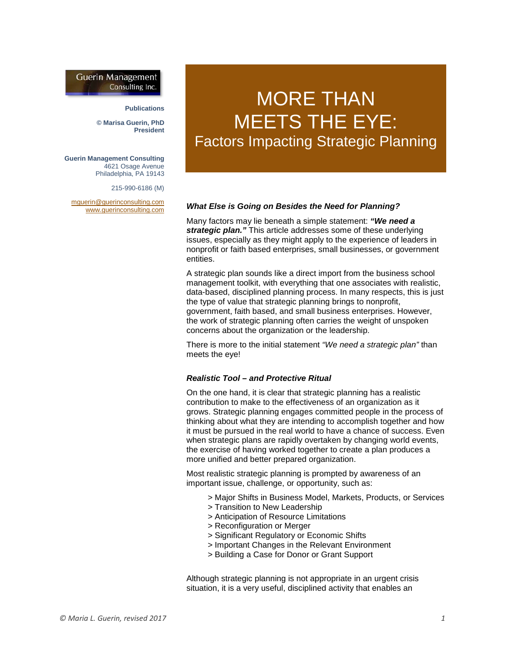# **Guerin Management** Consulting Inc.

#### **Publications**

**© Marisa Guerin, PhD President**

**Guerin Management Consulting** 4621 Osage Avenue Philadelphia, PA 19143

215-990-6186 (M)

[mguerin@guerinconsulting.com](mailto:mguerin@guerinconsulting.com) [www.guerinconsulting.com](http://www.guerinconsulting.com/)

# MORE THAN MEETS THE EYE: Factors Impacting Strategic Planning

#### *What Else is Going on Besides the Need for Planning?*

Many factors may lie beneath a simple statement: *"We need a strategic plan."* This article addresses some of these underlying issues, especially as they might apply to the experience of leaders in nonprofit or faith based enterprises, small businesses, or government entities.

A strategic plan sounds like a direct import from the business school management toolkit, with everything that one associates with realistic, data-based, disciplined planning process. In many respects, this is just the type of value that strategic planning brings to nonprofit, government, faith based, and small business enterprises. However, the work of strategic planning often carries the weight of unspoken concerns about the organization or the leadership.

There is more to the initial statement *"We need a strategic plan"* than meets the eye!

### *Realistic Tool – and Protective Ritual*

On the one hand, it is clear that strategic planning has a realistic contribution to make to the effectiveness of an organization as it grows. Strategic planning engages committed people in the process of thinking about what they are intending to accomplish together and how it must be pursued in the real world to have a chance of success. Even when strategic plans are rapidly overtaken by changing world events, the exercise of having worked together to create a plan produces a more unified and better prepared organization.

Most realistic strategic planning is prompted by awareness of an important issue, challenge, or opportunity, such as:

- > Major Shifts in Business Model, Markets, Products, or Services
- > Transition to New Leadership
- > Anticipation of Resource Limitations
- > Reconfiguration or Merger
- > Significant Regulatory or Economic Shifts
- > Important Changes in the Relevant Environment
- > Building a Case for Donor or Grant Support

Although strategic planning is not appropriate in an urgent crisis situation, it is a very useful, disciplined activity that enables an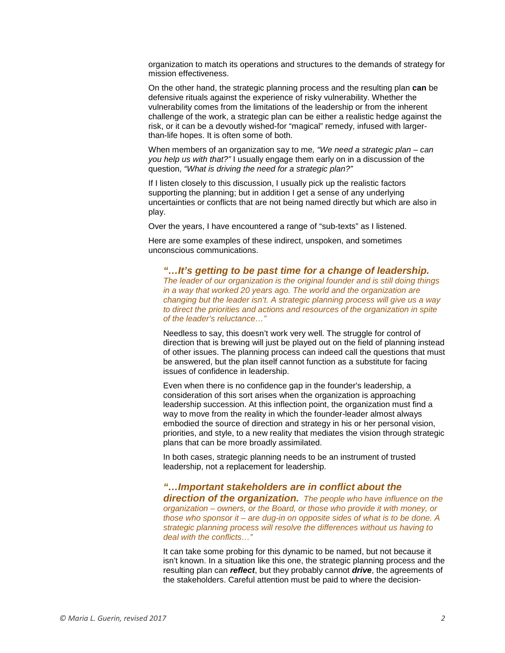organization to match its operations and structures to the demands of strategy for mission effectiveness.

On the other hand, the strategic planning process and the resulting plan **can** be defensive rituals against the experience of risky vulnerability. Whether the vulnerability comes from the limitations of the leadership or from the inherent challenge of the work, a strategic plan can be either a realistic hedge against the risk, or it can be a devoutly wished-for "magical" remedy, infused with largerthan-life hopes. It is often some of both.

When members of an organization say to me*, "We need a strategic plan – can you help us with that?"* I usually engage them early on in a discussion of the question, *"What is driving the need for a strategic plan?"*

If I listen closely to this discussion, I usually pick up the realistic factors supporting the planning; but in addition I get a sense of any underlying uncertainties or conflicts that are not being named directly but which are also in play.

Over the years, I have encountered a range of "sub-texts" as I listened.

Here are some examples of these indirect, unspoken, and sometimes unconscious communications.

*"…It's getting to be past time for a change of leadership. The leader of our organization is the original founder and is still doing things in a way that worked 20 years ago. The world and the organization are changing but the leader isn't. A strategic planning process will give us a way to direct the priorities and actions and resources of the organization in spite of the leader's reluctance…"*

Needless to say, this doesn't work very well. The struggle for control of direction that is brewing will just be played out on the field of planning instead of other issues. The planning process can indeed call the questions that must be answered, but the plan itself cannot function as a substitute for facing issues of confidence in leadership.

Even when there is no confidence gap in the founder's leadership, a consideration of this sort arises when the organization is approaching leadership succession. At this inflection point, the organization must find a way to move from the reality in which the founder-leader almost always embodied the source of direction and strategy in his or her personal vision, priorities, and style, to a new reality that mediates the vision through strategic plans that can be more broadly assimilated.

In both cases, strategic planning needs to be an instrument of trusted leadership, not a replacement for leadership.

*"…Important stakeholders are in conflict about the direction of the organization. The people who have influence on the organization – owners, or the Board, or those who provide it with money, or those who sponsor it – are dug-in on opposite sides of what is to be done. A strategic planning process will resolve the differences without us having to deal with the conflicts…"*

It can take some probing for this dynamic to be named, but not because it isn't known. In a situation like this one, the strategic planning process and the resulting plan can *reflect*, but they probably cannot *drive*, the agreements of the stakeholders. Careful attention must be paid to where the decision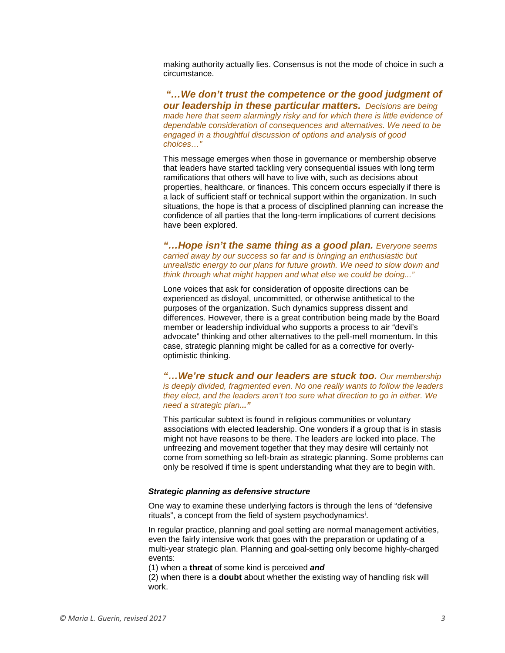making authority actually lies. Consensus is not the mode of choice in such a circumstance.

*"…We don't trust the competence or the good judgment of our leadership in these particular matters. Decisions are being made here that seem alarmingly risky and for which there is little evidence of dependable consideration of consequences and alternatives. We need to be engaged in a thoughtful discussion of options and analysis of good choices…"*

This message emerges when those in governance or membership observe that leaders have started tackling very consequential issues with long term ramifications that others will have to live with, such as decisions about properties, healthcare, or finances. This concern occurs especially if there is a lack of sufficient staff or technical support within the organization. In such situations, the hope is that a process of disciplined planning can increase the confidence of all parties that the long-term implications of current decisions have been explored.

*"…Hope isn't the same thing as a good plan. Everyone seems carried away by our success so far and is bringing an enthusiastic but unrealistic energy to our plans for future growth. We need to slow down and think through what might happen and what else we could be doing..."*

Lone voices that ask for consideration of opposite directions can be experienced as disloyal, uncommitted, or otherwise antithetical to the purposes of the organization. Such dynamics suppress dissent and differences. However, there is a great contribution being made by the Board member or leadership individual who supports a process to air "devil's advocate" thinking and other alternatives to the pell-mell momentum. In this case, strategic planning might be called for as a corrective for overlyoptimistic thinking.

*"…We're stuck and our leaders are stuck too. Our membership is deeply divided, fragmented even. No one really wants to follow the leaders they elect, and the leaders aren't too sure what direction to go in either. We need a strategic plan..."*

This particular subtext is found in religious communities or voluntary associations with elected leadership. One wonders if a group that is in stasis might not have reasons to be there. The leaders are locked into place. The unfreezing and movement together that they may desire will certainly not come from something so left-brain as strategic planning. Some problems can only be resolved if time is spent understanding what they are to begin with.

#### *Strategic planning as defensive structure*

One way to examine these underlying factors is through the lens of "defensive r[i](#page-4-0)tuals", a concept from the field of system psychodynamics<sup>i</sup>.

In regular practice, planning and goal setting are normal management activities, even the fairly intensive work that goes with the preparation or updating of a multi-year strategic plan. Planning and goal-setting only become highly-charged events:

(1) when a **threat** of some kind is perceived *and*

(2) when there is a **doubt** about whether the existing way of handling risk will work.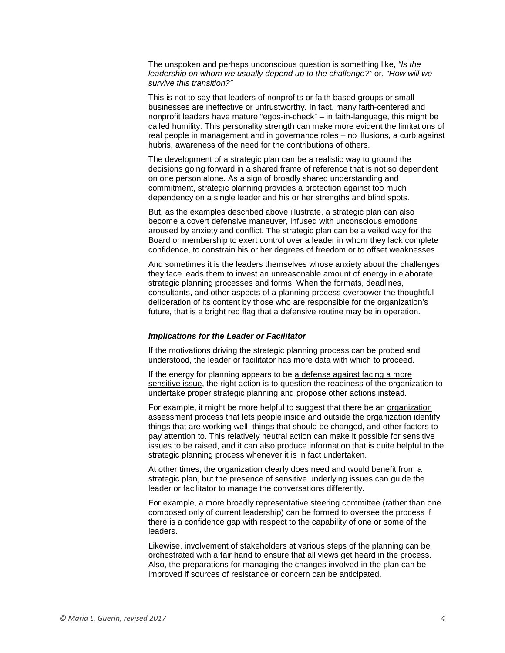The unspoken and perhaps unconscious question is something like, *"Is the leadership on whom we usually depend up to the challenge?"* or, *"How will we survive this transition?"*

This is not to say that leaders of nonprofits or faith based groups or small businesses are ineffective or untrustworthy. In fact, many faith-centered and nonprofit leaders have mature "egos-in-check" – in faith-language, this might be called humility. This personality strength can make more evident the limitations of real people in management and in governance roles – no illusions, a curb against hubris, awareness of the need for the contributions of others.

The development of a strategic plan can be a realistic way to ground the decisions going forward in a shared frame of reference that is not so dependent on one person alone. As a sign of broadly shared understanding and commitment, strategic planning provides a protection against too much dependency on a single leader and his or her strengths and blind spots.

But, as the examples described above illustrate, a strategic plan can also become a covert defensive maneuver, infused with unconscious emotions aroused by anxiety and conflict. The strategic plan can be a veiled way for the Board or membership to exert control over a leader in whom they lack complete confidence, to constrain his or her degrees of freedom or to offset weaknesses.

And sometimes it is the leaders themselves whose anxiety about the challenges they face leads them to invest an unreasonable amount of energy in elaborate strategic planning processes and forms. When the formats, deadlines, consultants, and other aspects of a planning process overpower the thoughtful deliberation of its content by those who are responsible for the organization's future, that is a bright red flag that a defensive routine may be in operation.

## *Implications for the Leader or Facilitator*

If the motivations driving the strategic planning process can be probed and understood, the leader or facilitator has more data with which to proceed.

If the energy for planning appears to be a defense against facing a more sensitive issue, the right action is to question the readiness of the organization to undertake proper strategic planning and propose other actions instead.

For example, it might be more helpful to suggest that there be an organization assessment process that lets people inside and outside the organization identify things that are working well, things that should be changed, and other factors to pay attention to. This relatively neutral action can make it possible for sensitive issues to be raised, and it can also produce information that is quite helpful to the strategic planning process whenever it is in fact undertaken.

At other times, the organization clearly does need and would benefit from a strategic plan, but the presence of sensitive underlying issues can guide the leader or facilitator to manage the conversations differently.

For example, a more broadly representative steering committee (rather than one composed only of current leadership) can be formed to oversee the process if there is a confidence gap with respect to the capability of one or some of the leaders.

Likewise, involvement of stakeholders at various steps of the planning can be orchestrated with a fair hand to ensure that all views get heard in the process. Also, the preparations for managing the changes involved in the plan can be improved if sources of resistance or concern can be anticipated.